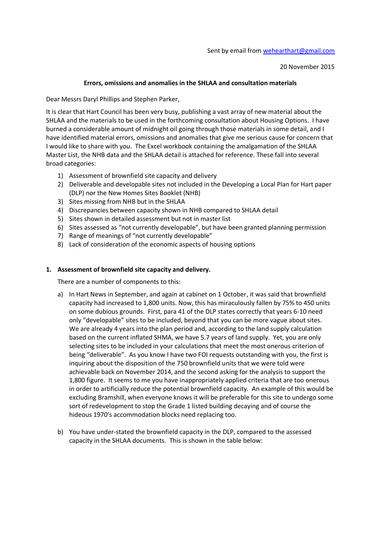20 November 2015

### **Errors, omissions and anomalies in the SHLAA and consultation materials**

Dear Messrs Daryl Phillips and Stephen Parker,

It is clear that Hart Council has been very busy, publishing a vast array of new material about the SHLAA and the materials to be used in the forthcoming consultation about Housing Options. I have burned a considerable amount of midnight oil going through those materials in some detail, and I have identified material errors, omissions and anomalies that give me serious cause for concern that I would like to share with you. The Excel workbook containing the amalgamation of the SHLAA Master List, the NHB data and the SHLAA detail is attached for reference. These fall into several broad categories:

- 1) Assessment of brownfield site capacity and delivery
- 2) Deliverable and developable sites not included in the Developing a Local Plan for Hart paper (DLP) nor the New Homes Sites Booklet (NHB)
- 3) Sites missing from NHB but in the SHLAA
- 4) Discrepancies between capacity shown in NHB compared to SHLAA detail
- 5) Sites shown in detailed assessment but not in master list
- 6) Sites assessed as "not currently developable", but have been granted planning permission
- 7) Range of meanings of "not currently developable"
- 8) Lack of consideration of the economic aspects of housing options

### **1. Assessment of brownfield site capacity and delivery.**

There are a number of components to this:

- a) In Hart News in September, and again at cabinet on 1 October, it was said that brownfield capacity had increased to 1,800 units. Now, this has miraculously fallen by 75% to 450 units on some dubious grounds. First, para 41 of the DLP states correctly that years 6-10 need only "developable" sites to be included, beyond that you can be more vague about sites. We are already 4 years into the plan period and, according to the land supply calculation based on the current inflated SHMA, we have 5.7 years of land supply. Yet, you are only selecting sites to be included in your calculations that meet the most onerous criterion of being "deliverable". As you know I have two FOI requests outstanding with you, the first is inquiring about the disposition of the 750 brownfield units that we were told were achievable back on November 2014, and the second asking for the analysis to support the 1,800 figure. It seems to me you have inappropriately applied criteria that are too onerous in order to artificially reduce the potential brownfield capacity. An example of this would be excluding Bramshill, when everyone knows it will be preferable for this site to undergo some sort of redevelopment to stop the Grade 1 listed building decaying and of course the hideous 1970's accommodation blocks need replacing too.
- b) You have under-stated the brownfield capacity in the DLP, compared to the assessed capacity in the SHLAA documents. This is shown in the table below: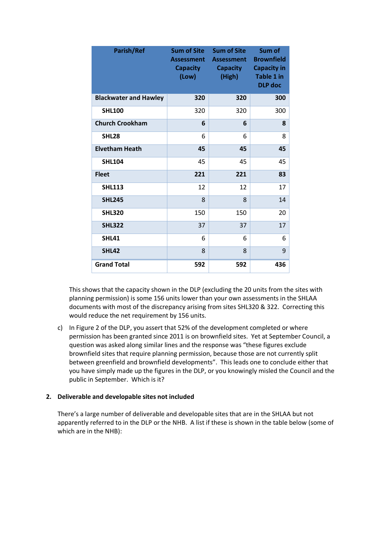| <b>Parish/Ref</b>            | <b>Sum of Site</b><br><b>Assessment</b><br><b>Capacity</b><br>(Low) | <b>Sum of Site</b><br><b>Assessment</b><br><b>Capacity</b><br>(High) | Sum of<br><b>Brownfield</b><br><b>Capacity in</b><br><b>Table 1 in</b><br><b>DLP</b> doc |
|------------------------------|---------------------------------------------------------------------|----------------------------------------------------------------------|------------------------------------------------------------------------------------------|
| <b>Blackwater and Hawley</b> | 320                                                                 | 320                                                                  | 300                                                                                      |
| <b>SHL100</b>                | 320                                                                 | 320                                                                  | 300                                                                                      |
| <b>Church Crookham</b>       | 6                                                                   | 6                                                                    | 8                                                                                        |
| <b>SHL28</b>                 | 6                                                                   | 6                                                                    | 8                                                                                        |
| <b>Elvetham Heath</b>        | 45                                                                  | 45                                                                   | 45                                                                                       |
| <b>SHL104</b>                | 45                                                                  | 45                                                                   | 45                                                                                       |
| <b>Fleet</b>                 | 221                                                                 | 221                                                                  | 83                                                                                       |
| <b>SHL113</b>                | 12                                                                  | 12                                                                   | 17                                                                                       |
| <b>SHL245</b>                | 8                                                                   | 8                                                                    | 14                                                                                       |
| <b>SHL320</b>                | 150                                                                 | 150                                                                  | 20                                                                                       |
| <b>SHL322</b>                | 37                                                                  | 37                                                                   | 17                                                                                       |
| <b>SHL41</b>                 | 6                                                                   | 6                                                                    | 6                                                                                        |
| <b>SHL42</b>                 | 8                                                                   | 8                                                                    | 9                                                                                        |
| <b>Grand Total</b>           | 592                                                                 | 592                                                                  | 436                                                                                      |

This shows that the capacity shown in the DLP (excluding the 20 units from the sites with planning permission) is some 156 units lower than your own assessments in the SHLAA documents with most of the discrepancy arising from sites SHL320 & 322. Correcting this would reduce the net requirement by 156 units.

c) In Figure 2 of the DLP, you assert that 52% of the development completed or where permission has been granted since 2011 is on brownfield sites. Yet at September Council, a question was asked along similar lines and the response was "these figures exclude brownfield sites that require planning permission, because those are not currently split between greenfield and brownfield developments". This leads one to conclude either that you have simply made up the figures in the DLP, or you knowingly misled the Council and the public in September. Which is it?

### **2. Deliverable and developable sites not included**

There's a large number of deliverable and developable sites that are in the SHLAA but not apparently referred to in the DLP or the NHB. A list if these is shown in the table below (some of which are in the NHB):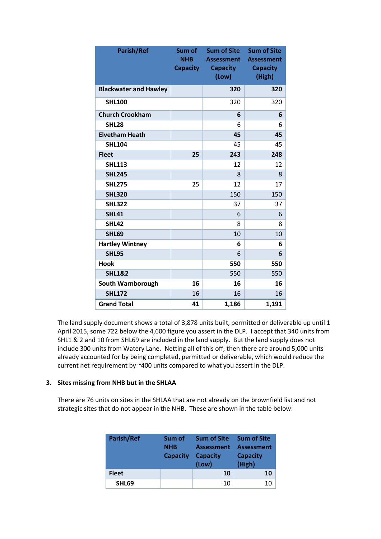| <b>Parish/Ref</b>            | Sum of<br><b>NHB</b><br><b>Capacity</b> | <b>Sum of Site</b><br><b>Assessment</b><br><b>Capacity</b><br>(Low) | <b>Sum of Site</b><br><b>Assessment</b><br><b>Capacity</b><br>(High) |
|------------------------------|-----------------------------------------|---------------------------------------------------------------------|----------------------------------------------------------------------|
| <b>Blackwater and Hawley</b> |                                         | 320                                                                 | 320                                                                  |
| <b>SHL100</b>                |                                         | 320                                                                 | 320                                                                  |
| <b>Church Crookham</b>       |                                         | 6                                                                   | 6                                                                    |
| <b>SHL28</b>                 |                                         | 6                                                                   | 6                                                                    |
| <b>Elvetham Heath</b>        |                                         | 45                                                                  | 45                                                                   |
| <b>SHL104</b>                |                                         | 45                                                                  | 45                                                                   |
| <b>Fleet</b>                 | 25                                      | 243                                                                 | 248                                                                  |
| <b>SHL113</b>                |                                         | 12                                                                  | 12                                                                   |
| <b>SHL245</b>                |                                         | 8                                                                   | 8                                                                    |
| <b>SHL275</b>                | 25                                      | 12                                                                  | 17                                                                   |
| <b>SHL320</b>                |                                         | 150                                                                 | 150                                                                  |
| <b>SHL322</b>                |                                         | 37                                                                  | 37                                                                   |
| <b>SHL41</b>                 |                                         | 6                                                                   | 6                                                                    |
| <b>SHL42</b>                 |                                         | 8                                                                   | 8                                                                    |
| <b>SHL69</b>                 |                                         | 10                                                                  | 10                                                                   |
| <b>Hartley Wintney</b>       |                                         | 6                                                                   | 6                                                                    |
| <b>SHL95</b>                 |                                         | 6                                                                   | 6                                                                    |
| <b>Hook</b>                  |                                         | 550                                                                 | 550                                                                  |
| <b>SHL1&amp;2</b>            |                                         | 550                                                                 | 550                                                                  |
| South Warnborough            | 16                                      | 16                                                                  | 16                                                                   |
| <b>SHL172</b>                | 16                                      | 16                                                                  | 16                                                                   |
| <b>Grand Total</b>           | 41                                      | 1,186                                                               | 1,191                                                                |

The land supply document shows a total of 3,878 units built, permitted or deliverable up until 1 April 2015, some 722 below the 4,600 figure you assert in the DLP. I accept that 340 units from SHL1 & 2 and 10 from SHL69 are included in the land supply. But the land supply does not include 300 units from Watery Lane. Netting all of this off, then there are around 5,000 units already accounted for by being completed, permitted or deliverable, which would reduce the current net requirement by ~400 units compared to what you assert in the DLP.

## **3. Sites missing from NHB but in the SHLAA**

There are 76 units on sites in the SHLAA that are not already on the brownfield list and not strategic sites that do not appear in the NHB. These are shown in the table below:

| Parish/Ref   | Sum of<br><b>NHB</b><br><b>Capacity</b> | <b>Sum of Site</b><br><b>Assessment</b><br><b>Capacity</b><br>(Low) | <b>Sum of Site</b><br><b>Assessment</b><br><b>Capacity</b><br>(High) |
|--------------|-----------------------------------------|---------------------------------------------------------------------|----------------------------------------------------------------------|
| <b>Fleet</b> |                                         | 10                                                                  | 10                                                                   |
| SHL69        |                                         | 10                                                                  | 10                                                                   |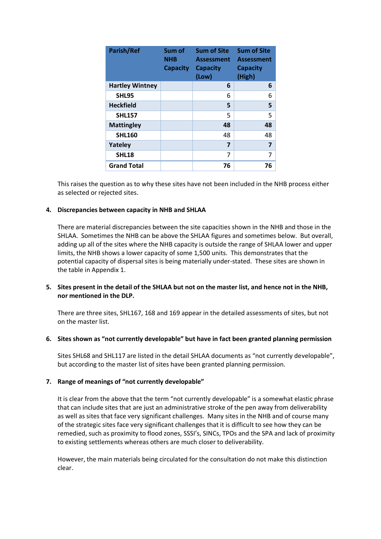| <b>Parish/Ref</b>      | Sum of<br><b>NHB</b><br><b>Capacity</b> | <b>Sum of Site</b><br><b>Assessment</b><br><b>Capacity</b><br>(Low) | <b>Sum of Site</b><br><b>Assessment</b><br><b>Capacity</b><br>(High) |
|------------------------|-----------------------------------------|---------------------------------------------------------------------|----------------------------------------------------------------------|
| <b>Hartley Wintney</b> |                                         | 6                                                                   | 6                                                                    |
| <b>SHL95</b>           |                                         | 6                                                                   | 6                                                                    |
| <b>Heckfield</b>       |                                         | 5                                                                   | 5                                                                    |
| <b>SHL157</b>          |                                         | 5                                                                   | 5                                                                    |
| <b>Mattingley</b>      |                                         | 48                                                                  | 48                                                                   |
| <b>SHL160</b>          |                                         | 48                                                                  | 48                                                                   |
| <b>Yateley</b>         |                                         | 7                                                                   | 7                                                                    |
| <b>SHL18</b>           |                                         | 7                                                                   | 7                                                                    |
| <b>Grand Total</b>     |                                         | 76                                                                  | 76                                                                   |

This raises the question as to why these sites have not been included in the NHB process either as selected or rejected sites.

### **4. Discrepancies between capacity in NHB and SHLAA**

There are material discrepancies between the site capacities shown in the NHB and those in the SHLAA. Sometimes the NHB can be above the SHLAA figures and sometimes below. But overall, adding up all of the sites where the NHB capacity is outside the range of SHLAA lower and upper limits, the NHB shows a lower capacity of some 1,500 units. This demonstrates that the potential capacity of dispersal sites is being materially under-stated. These sites are shown in the table in Appendix 1.

## **5. Sites present in the detail of the SHLAA but not on the master list, and hence not in the NHB, nor mentioned in the DLP.**

There are three sites, SHL167, 168 and 169 appear in the detailed assessments of sites, but not on the master list.

### **6. Sites shown as "not currently developable" but have in fact been granted planning permission**

Sites SHL68 and SHL117 are listed in the detail SHLAA documents as "not currently developable", but according to the master list of sites have been granted planning permission.

### **7. Range of meanings of "not currently developable"**

It is clear from the above that the term "not currently developable" is a somewhat elastic phrase that can include sites that are just an administrative stroke of the pen away from deliverability as well as sites that face very significant challenges. Many sites in the NHB and of course many of the strategic sites face very significant challenges that it is difficult to see how they can be remedied, such as proximity to flood zones, SSSI's, SINCs, TPOs and the SPA and lack of proximity to existing settlements whereas others are much closer to deliverability.

However, the main materials being circulated for the consultation do not make this distinction clear.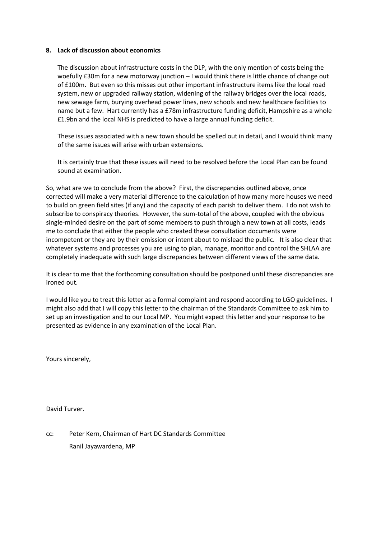#### **8. Lack of discussion about economics**

The discussion about infrastructure costs in the DLP, with the only mention of costs being the woefully £30m for a new motorway junction – I would think there is little chance of change out of £100m. But even so this misses out other important infrastructure items like the local road system, new or upgraded railway station, widening of the railway bridges over the local roads, new sewage farm, burying overhead power lines, new schools and new healthcare facilities to name but a few. Hart currently has a £78m infrastructure funding deficit, Hampshire as a whole £1.9bn and the local NHS is predicted to have a large annual funding deficit.

These issues associated with a new town should be spelled out in detail, and I would think many of the same issues will arise with urban extensions.

It is certainly true that these issues will need to be resolved before the Local Plan can be found sound at examination.

So, what are we to conclude from the above? First, the discrepancies outlined above, once corrected will make a very material difference to the calculation of how many more houses we need to build on green field sites (if any) and the capacity of each parish to deliver them. I do not wish to subscribe to conspiracy theories. However, the sum-total of the above, coupled with the obvious single-minded desire on the part of some members to push through a new town at all costs, leads me to conclude that either the people who created these consultation documents were incompetent or they are by their omission or intent about to mislead the public. It is also clear that whatever systems and processes you are using to plan, manage, monitor and control the SHLAA are completely inadequate with such large discrepancies between different views of the same data.

It is clear to me that the forthcoming consultation should be postponed until these discrepancies are ironed out.

I would like you to treat this letter as a formal complaint and respond according to LGO guidelines. I might also add that I will copy this letter to the chairman of the Standards Committee to ask him to set up an investigation and to our Local MP. You might expect this letter and your response to be presented as evidence in any examination of the Local Plan.

Yours sincerely,

David Turver.

cc: Peter Kern, Chairman of Hart DC Standards Committee Ranil Jayawardena, MP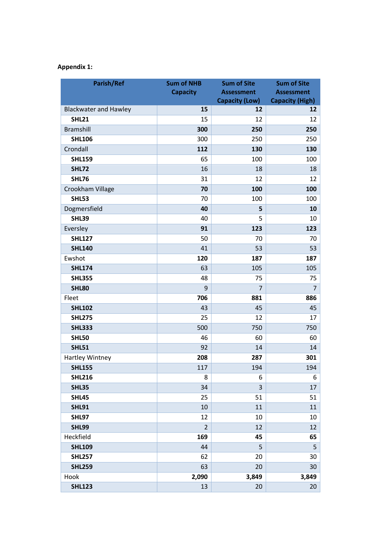# **Appendix 1:**

| Parish/Ref                   | <b>Sum of NHB</b> | <b>Sum of Site</b>    | <b>Sum of Site</b>     |
|------------------------------|-------------------|-----------------------|------------------------|
|                              | <b>Capacity</b>   | <b>Assessment</b>     | <b>Assessment</b>      |
|                              |                   | <b>Capacity (Low)</b> | <b>Capacity (High)</b> |
| <b>Blackwater and Hawley</b> | 15                | 12                    | 12                     |
| <b>SHL21</b>                 | 15                | 12                    | 12                     |
| <b>Bramshill</b>             | 300               | 250                   | 250                    |
| <b>SHL106</b>                | 300               | 250                   | 250                    |
| Crondall                     | 112               | 130                   | 130                    |
| <b>SHL159</b>                | 65                | 100                   | 100                    |
| <b>SHL72</b>                 | 16                | 18                    | 18                     |
| <b>SHL76</b>                 | 31                | 12                    | 12                     |
| Crookham Village             | 70                | 100                   | 100                    |
| <b>SHL53</b>                 | 70                | 100                   | 100                    |
| Dogmersfield                 | 40                | 5                     | 10                     |
| <b>SHL39</b>                 | 40                | 5                     | 10                     |
| Eversley                     | 91                | 123                   | 123                    |
| <b>SHL127</b>                | 50                | 70                    | 70                     |
| <b>SHL140</b>                | 41                | 53                    | 53                     |
| Ewshot                       | 120               | 187                   | 187                    |
| <b>SHL174</b>                | 63                | 105                   | 105                    |
| <b>SHL355</b>                | 48                | 75                    | 75                     |
| <b>SHL80</b>                 | 9                 | $\overline{7}$        | $\overline{7}$         |
| Fleet                        | 706               | 881                   | 886                    |
| <b>SHL102</b>                | 43                | 45                    | 45                     |
| <b>SHL275</b>                | 25                | 12                    | 17                     |
| <b>SHL333</b>                | 500               | 750                   | 750                    |
| <b>SHL50</b>                 | 46                | 60                    | 60                     |
| <b>SHL51</b>                 | 92                | 14                    | 14                     |
| Hartley Wintney              | 208               | 287                   | 301                    |
| <b>SHL155</b>                | 117               | 194                   | 194                    |
| <b>SHL216</b>                | 8                 | 6                     | 6                      |
| <b>SHL35</b>                 | 34                | 3                     | 17                     |
| <b>SHL45</b>                 | 25                | 51                    | 51                     |
| <b>SHL91</b>                 | 10                | 11                    | 11                     |
| <b>SHL97</b>                 | 12                | 10                    | 10                     |
| <b>SHL99</b>                 | $\overline{2}$    | 12                    | 12                     |
| Heckfield                    | 169               | 45                    | 65                     |
| <b>SHL109</b>                | 44                | 5                     | 5                      |
| <b>SHL257</b>                | 62                | 20                    | 30                     |
| <b>SHL259</b>                | 63                | 20                    | 30                     |
| Hook                         | 2,090             | 3,849                 | 3,849                  |
| <b>SHL123</b>                | 13                | 20                    | 20                     |